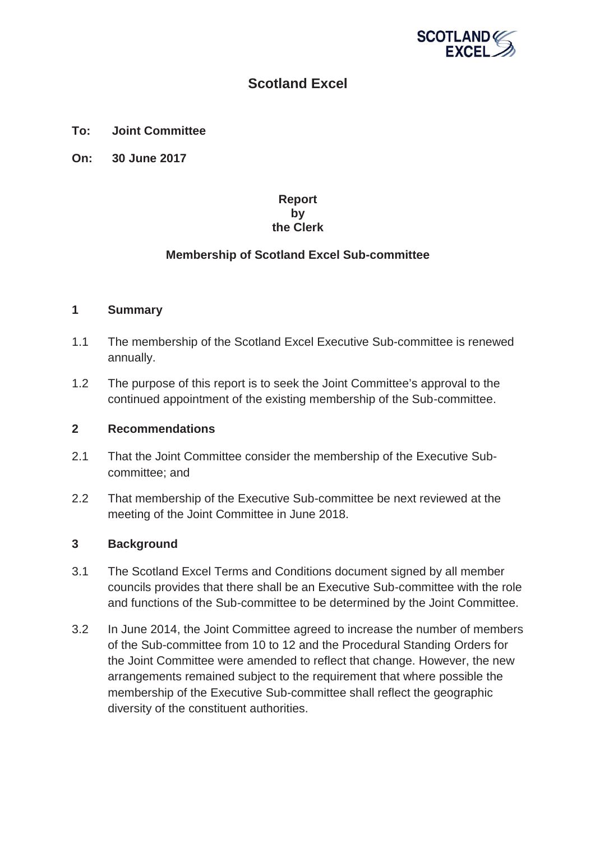

# **Scotland Excel**

**To: Joint Committee**

**On: 30 June 2017**

# **Report by the Clerk**

# **Membership of Scotland Excel Sub-committee**

#### **1 Summary**

- 1.1 The membership of the Scotland Excel Executive Sub-committee is renewed annually.
- 1.2 The purpose of this report is to seek the Joint Committee's approval to the continued appointment of the existing membership of the Sub-committee.

## **2 Recommendations**

- 2.1 That the Joint Committee consider the membership of the Executive Subcommittee; and
- 2.2 That membership of the Executive Sub-committee be next reviewed at the meeting of the Joint Committee in June 2018.

## **3 Background**

- 3.1 The Scotland Excel Terms and Conditions document signed by all member councils provides that there shall be an Executive Sub-committee with the role and functions of the Sub-committee to be determined by the Joint Committee.
- 3.2 In June 2014, the Joint Committee agreed to increase the number of members of the Sub-committee from 10 to 12 and the Procedural Standing Orders for the Joint Committee were amended to reflect that change. However, the new arrangements remained subject to the requirement that where possible the membership of the Executive Sub-committee shall reflect the geographic diversity of the constituent authorities.